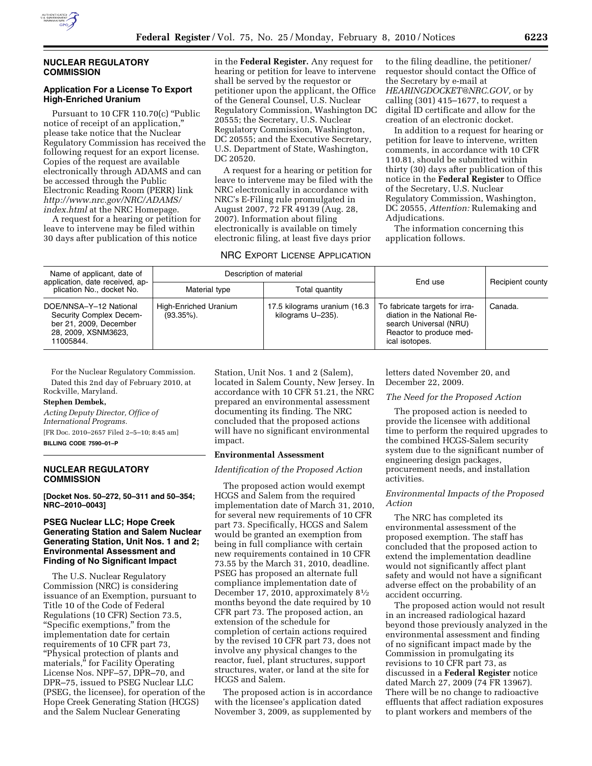

### **NUCLEAR REGULATORY COMMISSION**

### **Application For a License To Export High-Enriched Uranium**

Pursuant to 10 CFR 110.70(c) ''Public notice of receipt of an application,'' please take notice that the Nuclear Regulatory Commission has received the following request for an export license. Copies of the request are available electronically through ADAMS and can be accessed through the Public Electronic Reading Room (PERR) link *http://www.nrc.gov/NRC/ADAMS/ index.html* at the NRC Homepage.

A request for a hearing or petition for leave to intervene may be filed within 30 days after publication of this notice

in the **Federal Register.** Any request for hearing or petition for leave to intervene shall be served by the requestor or petitioner upon the applicant, the Office of the General Counsel, U.S. Nuclear Regulatory Commission, Washington DC 20555; the Secretary, U.S. Nuclear Regulatory Commission, Washington, DC 20555; and the Executive Secretary, U.S. Department of State, Washington, DC 20520.

A request for a hearing or petition for leave to intervene may be filed with the NRC electronically in accordance with NRC's E-Filing rule promulgated in August 2007, 72 FR 49139 (Aug. 28, 2007). Information about filing electronically is available on timely electronic filing, at least five days prior

# NRC EXPORT LICENSE APPLICATION

to the filing deadline, the petitioner/ requestor should contact the Office of the Secretary by e-mail at *HEARINGDOCKET@NRC.GOV,* or by calling (301) 415–1677, to request a digital ID certificate and allow for the creation of an electronic docket.

In addition to a request for hearing or petition for leave to intervene, written comments, in accordance with 10 CFR 110.81, should be submitted within thirty (30) days after publication of this notice in the **Federal Register** to Office of the Secretary, U.S. Nuclear Regulatory Commission, Washington, DC 20555, *Attention:* Rulemaking and Adjudications.

The information concerning this application follows.

| Name of applicant, date of<br>application, date received, ap-<br>plication No., docket No.                      | Description of material                |                                                   | End use                                                                                                                              |                  |
|-----------------------------------------------------------------------------------------------------------------|----------------------------------------|---------------------------------------------------|--------------------------------------------------------------------------------------------------------------------------------------|------------------|
|                                                                                                                 | Material type                          | Total quantity                                    |                                                                                                                                      | Recipient county |
| DOE/NNSA-Y-12 National<br>Security Complex Decem-<br>ber 21, 2009, December<br>28, 2009, XSNM3623,<br>11005844. | High-Enriched Uranium<br>$(93.35\%)$ . | 17.5 kilograms uranium (16.3<br>kilograms U-235). | To fabricate targets for irra-<br>diation in the National Re-<br>search Universal (NRU)<br>Reactor to produce med-<br>ical isotopes. | Canada.          |

For the Nuclear Regulatory Commission. Dated this 2nd day of February 2010, at Rockville, Maryland.

#### **Stephen Dembek,**

*Acting Deputy Director, Office of International Programs.*  [FR Doc. 2010–2657 Filed 2–5–10; 8:45 am]

**BILLING CODE 7590–01–P** 

### **NUCLEAR REGULATORY COMMISSION**

**[Docket Nos. 50–272, 50–311 and 50–354; NRC–2010–0043]** 

### **PSEG Nuclear LLC; Hope Creek Generating Station and Salem Nuclear Generating Station, Unit Nos. 1 and 2; Environmental Assessment and Finding of No Significant Impact**

The U.S. Nuclear Regulatory Commission (NRC) is considering issuance of an Exemption, pursuant to Title 10 of the Code of Federal Regulations (10 CFR) Section 73.5, ''Specific exemptions,'' from the implementation date for certain requirements of 10 CFR part 73, ''Physical protection of plants and materials,'' for Facility Operating License Nos. NPF–57, DPR–70, and DPR–75, issued to PSEG Nuclear LLC (PSEG, the licensee), for operation of the Hope Creek Generating Station (HCGS) and the Salem Nuclear Generating

Station, Unit Nos. 1 and 2 (Salem), located in Salem County, New Jersey. In accordance with 10 CFR 51.21, the NRC prepared an environmental assessment documenting its finding. The NRC concluded that the proposed actions will have no significant environmental impact.

### **Environmental Assessment**

### *Identification of the Proposed Action*

The proposed action would exempt HCGS and Salem from the required implementation date of March 31, 2010, for several new requirements of 10 CFR part 73. Specifically, HCGS and Salem would be granted an exemption from being in full compliance with certain new requirements contained in 10 CFR 73.55 by the March 31, 2010, deadline. PSEG has proposed an alternate full compliance implementation date of December 17, 2010, approximately 81⁄2 months beyond the date required by 10 CFR part 73. The proposed action, an extension of the schedule for completion of certain actions required by the revised 10 CFR part 73, does not involve any physical changes to the reactor, fuel, plant structures, support structures, water, or land at the site for HCGS and Salem.

The proposed action is in accordance with the licensee's application dated November 3, 2009, as supplemented by

letters dated November 20, and December 22, 2009.

### *The Need for the Proposed Action*

The proposed action is needed to provide the licensee with additional time to perform the required upgrades to the combined HCGS-Salem security system due to the significant number of engineering design packages, procurement needs, and installation activities.

#### *Environmental Impacts of the Proposed Action*

The NRC has completed its environmental assessment of the proposed exemption. The staff has concluded that the proposed action to extend the implementation deadline would not significantly affect plant safety and would not have a significant adverse effect on the probability of an accident occurring.

The proposed action would not result in an increased radiological hazard beyond those previously analyzed in the environmental assessment and finding of no significant impact made by the Commission in promulgating its revisions to 10 CFR part 73, as discussed in a **Federal Register** notice dated March 27, 2009 (74 FR 13967). There will be no change to radioactive effluents that affect radiation exposures to plant workers and members of the